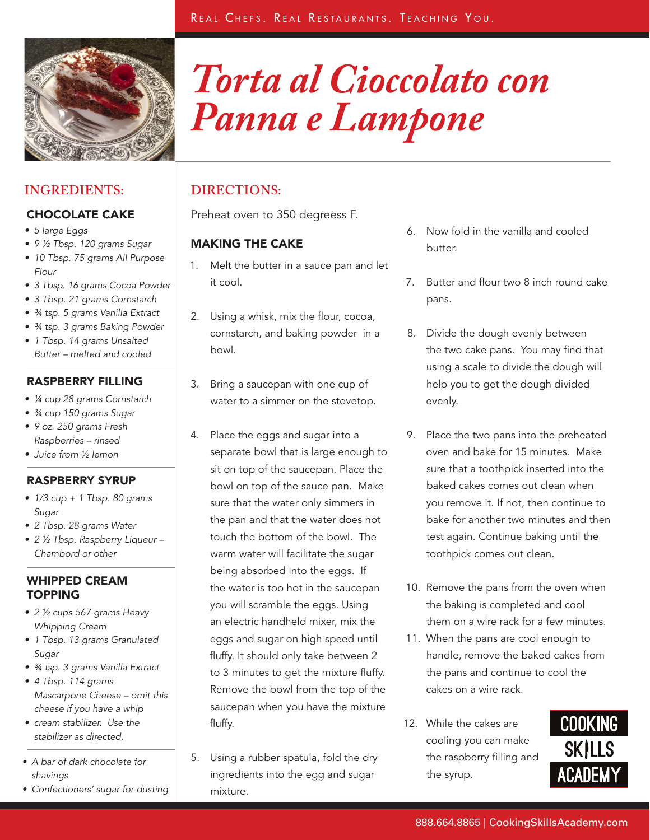*Panna e Lampone*

*Torta al Cioccolato con* 



# **INGREDIENTS: DIRECTIONS:**

# CHOCOLATE CAKE

- 5 large Eggs
- • 9 ½ Tbsp. 120 grams Sugar
- 10 Tbsp. 75 grams All Purpose Flour
- 3 Tbsp. 16 grams Cocoa Powder
- 3 Tbsp. 21 grams Cornstarch
- $\frac{3}{4}$  tsp. 5 grams Vanilla Extract
- 34 tsp. 3 grams Baking Powder
- 1 Tbsp. 14 grams Unsalted Butter – melted and cooled

## RASPBERRY FILLING

- ¼ cup 28 grams Cornstarch
- $\frac{3}{4}$  cup 150 grams Sugar
- 9 oz. 250 grams Fresh Raspberries – rinsed
- Juice from 1/2 lemon

# RASPBERRY SYRUP

- $\bullet$  1/3 cup + 1 Tbsp. 80 grams Sugar
- 2 Tbsp. 28 grams Water
- 2 ½ Tbsp. Raspberry Liqueur Chambord or other

## WHIPPED CREAM TOPPING

- 2 1/2 cups 567 grams Heavy Whipping Cream
- 1 Tbsp. 13 grams Granulated Sugar
- 34 tsp. 3 grams Vanilla Extract
- • 4 Tbsp. 114 grams Mascarpone Cheese – omit this cheese if you have a whip
- cream stabilizer. Use the stabilizer as directed.
- A bar of dark chocolate for shavings
- Confectioners' sugar for dusting

Preheat oven to 350 degreess F.

# MAKING THE CAKE

- 1. Melt the butter in a sauce pan and let it cool.
- 2. Using a whisk, mix the flour, cocoa, cornstarch, and baking powder in a bowl.
- 3. Bring a saucepan with one cup of water to a simmer on the stovetop.
- 4. Place the eggs and sugar into a separate bowl that is large enough to sit on top of the saucepan. Place the bowl on top of the sauce pan. Make sure that the water only simmers in the pan and that the water does not touch the bottom of the bowl. The warm water will facilitate the sugar being absorbed into the eggs. If the water is too hot in the saucepan you will scramble the eggs. Using an electric handheld mixer, mix the eggs and sugar on high speed until fluffy. It should only take between 2 to 3 minutes to get the mixture fluffy. Remove the bowl from the top of the saucepan when you have the mixture fluffy.
- 5. Using a rubber spatula, fold the dry ingredients into the egg and sugar mixture.
- 6. Now fold in the vanilla and cooled butter.
- 7. Butter and flour two 8 inch round cake pans.
- 8. Divide the dough evenly between the two cake pans. You may find that using a scale to divide the dough will help you to get the dough divided evenly.
- 9. Place the two pans into the preheated oven and bake for 15 minutes. Make sure that a toothpick inserted into the baked cakes comes out clean when you remove it. If not, then continue to bake for another two minutes and then test again. Continue baking until the toothpick comes out clean.
- 10. Remove the pans from the oven when the baking is completed and cool them on a wire rack for a few minutes.
- 11. When the pans are cool enough to handle, remove the baked cakes from the pans and continue to cool the cakes on a wire rack.
- 12. While the cakes are cooling you can make the raspberry filling and the syrup.

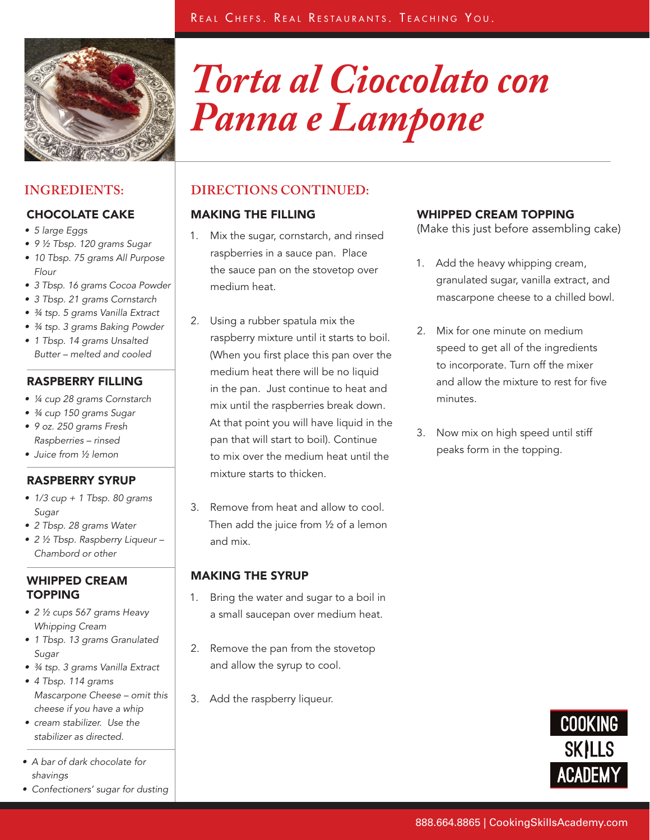

# *Torta al Cioccolato con Panna e Lampone*

- 5 large Eggs
- • 9 ½ Tbsp. 120 grams Sugar
- 10 Tbsp. 75 grams All Purpose Flour
- 3 Tbsp. 16 grams Cocoa Powder
- 3 Tbsp. 21 grams Cornstarch
- 34 tsp. 5 grams Vanilla Extract
- 34 tsp. 3 grams Baking Powder
- 1 Tbsp. 14 grams Unsalted Butter – melted and cooled

# RASPBERRY FILLING

- ¼ cup 28 grams Cornstarch
- $\frac{3}{4}$  cup 150 grams Sugar
- 9 oz. 250 grams Fresh Raspberries – rinsed
- Juice from 1/2 lemon

# RASPBERRY SYRUP

- $\bullet$  1/3 cup + 1 Tbsp. 80 grams Sugar
- 2 Tbsp. 28 grams Water
- 2 ½ Tbsp. Raspberry Liqueur Chambord or other

## WHIPPED CREAM TOPPING

- 2 1/2 cups 567 grams Heavy Whipping Cream
- 1 Tbsp. 13 grams Granulated Sugar
- 34 tsp. 3 grams Vanilla Extract
- • 4 Tbsp. 114 grams Mascarpone Cheese – omit this cheese if you have a whip
- cream stabilizer. Use the stabilizer as directed.
- A bar of dark chocolate for shavings
- Confectioners' sugar for dusting

# **INGREDIENTS: DIRECTIONS CONTINUED:**

# CHOCOLATE CAKE MAKING THE FILLING

- 1. Mix the sugar, cornstarch, and rinsed raspberries in a sauce pan. Place the sauce pan on the stovetop over medium heat.
- 2. Using a rubber spatula mix the raspberry mixture until it starts to boil. (When you first place this pan over the medium heat there will be no liquid in the pan. Just continue to heat and mix until the raspberries break down. At that point you will have liquid in the pan that will start to boil). Continue to mix over the medium heat until the mixture starts to thicken.
- 3. Remove from heat and allow to cool. Then add the juice from ½ of a lemon and mix.

# MAKING THE SYRUP

- 1. Bring the water and sugar to a boil in a small saucepan over medium heat.
- 2. Remove the pan from the stovetop and allow the syrup to cool.
- 3. Add the raspberry liqueur.

# WHIPPED CREAM TOPPING

(Make this just before assembling cake)

- 1. Add the heavy whipping cream, granulated sugar, vanilla extract, and mascarpone cheese to a chilled bowl.
- 2. Mix for one minute on medium speed to get all of the ingredients to incorporate. Turn off the mixer and allow the mixture to rest for five minutes.
- 3. Now mix on high speed until stiff peaks form in the topping.